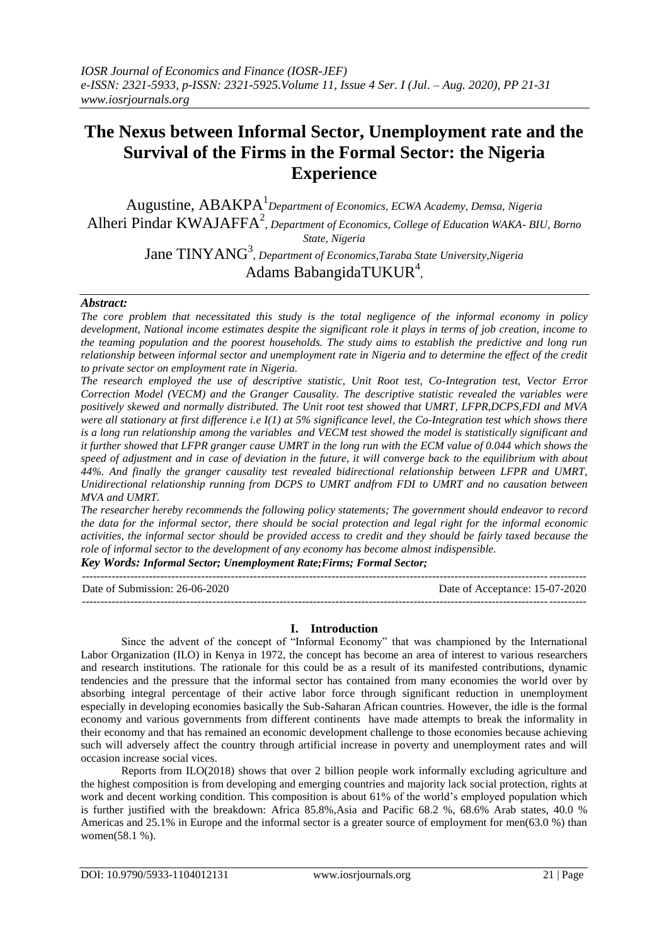# **The Nexus between Informal Sector, Unemployment rate and the Survival of the Firms in the Formal Sector: the Nigeria Experience**

Augustine, ABAKPA<sup>1</sup> *Department of Economics, ECWA Academy, Demsa, Nigeria* Alheri Pindar KWAJAFFA<sup>2</sup>, *Department of Economics, College of Education WAKA- BIU, Borno State, Nigeria*

Jane TINYANG<sup>3</sup>, *Department of Economics, Taraba State University, Nigeria* Adams BabangidaTUKUR<sup>4</sup>,

# *Abstract:*

*The core problem that necessitated this study is the total negligence of the informal economy in policy development, National income estimates despite the significant role it plays in terms of job creation, income to the teaming population and the poorest households. The study aims to establish the predictive and long run relationship between informal sector and unemployment rate in Nigeria and to determine the effect of the credit to private sector on employment rate in Nigeria.*

*The research employed the use of descriptive statistic, Unit Root test, Co-Integration test, Vector Error Correction Model (VECM) and the Granger Causality. The descriptive statistic revealed the variables were positively skewed and normally distributed. The Unit root test showed that UMRT, LFPR,DCPS,FDI and MVA were all stationary at first difference i.e I(1) at 5% significance level, the Co-Integration test which shows there is a long run relationship among the variables and VECM test showed the model is statistically significant and it further showed that LFPR granger cause UMRT in the long run with the ECM value of 0.044 which shows the speed of adjustment and in case of deviation in the future, it will converge back to the equilibrium with about 44%. And finally the granger causality test revealed bidirectional relationship between LFPR and UMRT, Unidirectional relationship running from DCPS to UMRT andfrom FDI to UMRT and no causation between MVA and UMRT.*

*The researcher hereby recommends the following policy statements; The government should endeavor to record the data for the informal sector, there should be social protection and legal right for the informal economic activities, the informal sector should be provided access to credit and they should be fairly taxed because the role of informal sector to the development of any economy has become almost indispensible.* 

*Key Words: Informal Sector; Unemployment Rate;Firms; Formal Sector;*

--------------------------------------------------------------------------------------------------------------------------------------- Date of Submission: 26-06-2020 Date of Acceptance: 15-07-2020 ---------------------------------------------------------------------------------------------------------------------------------------

# **I. Introduction**

Since the advent of the concept of "Informal Economy" that was championed by the International Labor Organization (ILO) in Kenya in 1972, the concept has become an area of interest to various researchers and research institutions. The rationale for this could be as a result of its manifested contributions, dynamic tendencies and the pressure that the informal sector has contained from many economies the world over by absorbing integral percentage of their active labor force through significant reduction in unemployment especially in developing economies basically the Sub-Saharan African countries. However, the idle is the formal economy and various governments from different continents have made attempts to break the informality in their economy and that has remained an economic development challenge to those economies because achieving such will adversely affect the country through artificial increase in poverty and unemployment rates and will occasion increase social vices.

Reports from ILO(2018) shows that over 2 billion people work informally excluding agriculture and the highest composition is from developing and emerging countries and majority lack social protection, rights at work and decent working condition. This composition is about 61% of the world's employed population which is further justified with the breakdown: Africa 85.8%,Asia and Pacific 68.2 %, 68.6% Arab states, 40.0 % Americas and 25.1% in Europe and the informal sector is a greater source of employment for men(63.0 %) than women(58.1 %).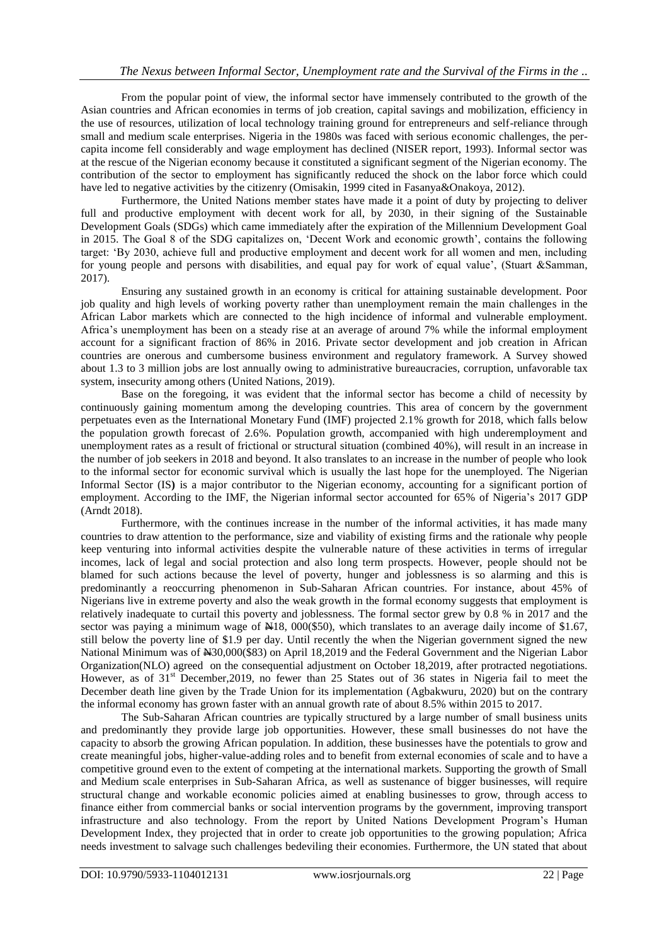From the popular point of view, the informal sector have immensely contributed to the growth of the Asian countries and African economies in terms of job creation, capital savings and mobilization, efficiency in the use of resources, utilization of local technology training ground for entrepreneurs and self-reliance through small and medium scale enterprises. Nigeria in the 1980s was faced with serious economic challenges, the percapita income fell considerably and wage employment has declined (NISER report, 1993). Informal sector was at the rescue of the Nigerian economy because it constituted a significant segment of the Nigerian economy. The contribution of the sector to employment has significantly reduced the shock on the labor force which could have led to negative activities by the citizenry (Omisakin, 1999 cited in Fasanya&Onakoya, 2012).

Furthermore, the United Nations member states have made it a point of duty by projecting to deliver full and productive employment with decent work for all, by 2030, in their signing of the Sustainable Development Goals (SDGs) which came immediately after the expiration of the Millennium Development Goal in 2015. The Goal 8 of the SDG capitalizes on, "Decent Work and economic growth", contains the following target: "By 2030, achieve full and productive employment and decent work for all women and men, including for young people and persons with disabilities, and equal pay for work of equal value", (Stuart &Samman, 2017).

Ensuring any sustained growth in an economy is critical for attaining sustainable development. Poor job quality and high levels of working poverty rather than unemployment remain the main challenges in the African Labor markets which are connected to the high incidence of informal and vulnerable employment. Africa"s unemployment has been on a steady rise at an average of around 7% while the informal employment account for a significant fraction of 86% in 2016. Private sector development and job creation in African countries are onerous and cumbersome business environment and regulatory framework. A Survey showed about 1.3 to 3 million jobs are lost annually owing to administrative bureaucracies, corruption, unfavorable tax system, insecurity among others (United Nations, 2019).

Base on the foregoing, it was evident that the informal sector has become a child of necessity by continuously gaining momentum among the developing countries. This area of concern by the government perpetuates even as the International Monetary Fund (IMF) projected 2.1% growth for 2018, which falls below the population growth forecast of 2.6%. Population growth, accompanied with high underemployment and unemployment rates as a result of frictional or structural situation (combined 40%), will result in an increase in the number of job seekers in 2018 and beyond. It also translates to an increase in the number of people who look to the informal sector for economic survival which is usually the last hope for the unemployed. The Nigerian Informal Sector (IS**)** is a major contributor to the Nigerian economy, accounting for a significant portion of employment. According to the IMF, the Nigerian informal sector accounted for 65% of Nigeria's 2017 GDP (Arndt 2018).

Furthermore, with the continues increase in the number of the informal activities, it has made many countries to draw attention to the performance, size and viability of existing firms and the rationale why people keep venturing into informal activities despite the vulnerable nature of these activities in terms of irregular incomes, lack of legal and social protection and also long term prospects. However, people should not be blamed for such actions because the level of poverty, hunger and joblessness is so alarming and this is predominantly a reoccurring phenomenon in Sub-Saharan African countries. For instance, about 45% of Nigerians live in extreme poverty and also the weak growth in the formal economy suggests that employment is relatively inadequate to curtail this poverty and joblessness. The formal sector grew by 0.8 % in 2017 and the sector was paying a minimum wage of  $\text{\#18}, 000(\text{\#50}),$  which translates to an average daily income of \$1.67, still below the poverty line of \$1.9 per day. Until recently the when the Nigerian government signed the new National Minimum was of N30,000(\$83) on April 18,2019 and the Federal Government and the Nigerian Labor Organization(NLO) agreed on the consequential adjustment on October 18,2019, after protracted negotiations. However, as of 31<sup>st</sup> December, 2019, no fewer than 25 States out of 36 states in Nigeria fail to meet the December death line given by the Trade Union for its implementation (Agbakwuru, 2020) but on the contrary the informal economy has grown faster with an annual growth rate of about 8.5% within 2015 to 2017.

The Sub-Saharan African countries are typically structured by a large number of small business units and predominantly they provide large job opportunities. However, these small businesses do not have the capacity to absorb the growing African population. In addition, these businesses have the potentials to grow and create meaningful jobs, higher-value-adding roles and to benefit from external economies of scale and to have a competitive ground even to the extent of competing at the international markets. Supporting the growth of Small and Medium scale enterprises in Sub-Saharan Africa, as well as sustenance of bigger businesses, will require structural change and workable economic policies aimed at enabling businesses to grow, through access to finance either from commercial banks or social intervention programs by the government, improving transport infrastructure and also technology. From the report by United Nations Development Program"s Human Development Index, they projected that in order to create job opportunities to the growing population; Africa needs investment to salvage such challenges bedeviling their economies. Furthermore, the UN stated that about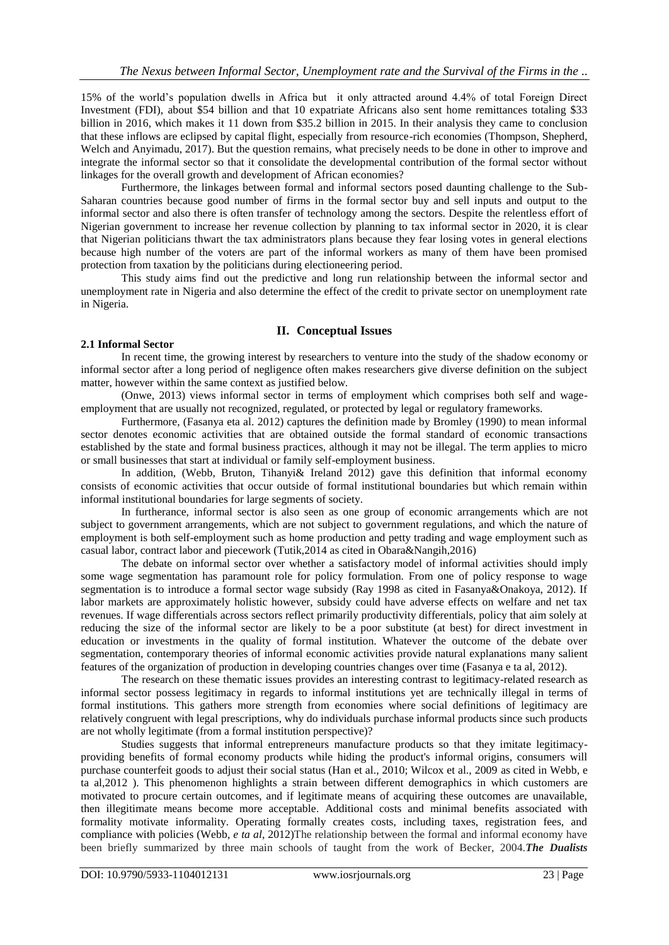15% of the world"s population dwells in Africa but it only attracted around 4.4% of total Foreign Direct Investment (FDI), about \$54 billion and that 10 expatriate Africans also sent home remittances totaling \$33 billion in 2016, which makes it 11 down from \$35.2 billion in 2015. In their analysis they came to conclusion that these inflows are eclipsed by capital flight, especially from resource-rich economies (Thompson, Shepherd, Welch and Anyimadu, 2017). But the question remains, what precisely needs to be done in other to improve and integrate the informal sector so that it consolidate the developmental contribution of the formal sector without linkages for the overall growth and development of African economies?

Furthermore, the linkages between formal and informal sectors posed daunting challenge to the Sub-Saharan countries because good number of firms in the formal sector buy and sell inputs and output to the informal sector and also there is often transfer of technology among the sectors. Despite the relentless effort of Nigerian government to increase her revenue collection by planning to tax informal sector in 2020, it is clear that Nigerian politicians thwart the tax administrators plans because they fear losing votes in general elections because high number of the voters are part of the informal workers as many of them have been promised protection from taxation by the politicians during electioneering period.

This study aims find out the predictive and long run relationship between the informal sector and unemployment rate in Nigeria and also determine the effect of the credit to private sector on unemployment rate in Nigeria.

### **II. Conceptual Issues**

## **2.1 Informal Sector**

In recent time, the growing interest by researchers to venture into the study of the shadow economy or informal sector after a long period of negligence often makes researchers give diverse definition on the subject matter, however within the same context as justified below.

(Onwe, 2013) views informal sector in terms of employment which comprises both self and wageemployment that are usually not recognized, regulated, or protected by legal or regulatory frameworks.

Furthermore, (Fasanya eta al. 2012) captures the definition made by Bromley (1990) to mean informal sector denotes economic activities that are obtained outside the formal standard of economic transactions established by the state and formal business practices, although it may not be illegal. The term applies to micro or small businesses that start at individual or family self-employment business.

In addition, (Webb, Bruton, Tihanyi& Ireland 2012) gave this definition that informal economy consists of economic activities that occur outside of formal institutional boundaries but which remain within informal institutional boundaries for large segments of society.

In furtherance, informal sector is also seen as one group of economic arrangements which are not subject to government arrangements, which are not subject to government regulations, and which the nature of employment is both self-employment such as home production and petty trading and wage employment such as casual labor, contract labor and piecework (Tutik,2014 as cited in Obara&Nangih,2016)

The debate on informal sector over whether a satisfactory model of informal activities should imply some wage segmentation has paramount role for policy formulation. From one of policy response to wage segmentation is to introduce a formal sector wage subsidy (Ray 1998 as cited in Fasanya&Onakoya, 2012). If labor markets are approximately holistic however, subsidy could have adverse effects on welfare and net tax revenues. If wage differentials across sectors reflect primarily productivity differentials, policy that aim solely at reducing the size of the informal sector are likely to be a poor substitute (at best) for direct investment in education or investments in the quality of formal institution. Whatever the outcome of the debate over segmentation, contemporary theories of informal economic activities provide natural explanations many salient features of the organization of production in developing countries changes over time (Fasanya e ta al, 2012).

The research on these thematic issues provides an interesting contrast to legitimacy-related research as informal sector possess legitimacy in regards to informal institutions yet are technically illegal in terms of formal institutions. This gathers more strength from economies where social definitions of legitimacy are relatively congruent with legal prescriptions, why do individuals purchase informal products since such products are not wholly legitimate (from a formal institution perspective)?

Studies suggests that informal entrepreneurs manufacture products so that they imitate legitimacyproviding benefits of formal economy products while hiding the product's informal origins, consumers will purchase counterfeit goods to adjust their social status (Han et al., 2010; Wilcox et al., 2009 as cited in Webb, e ta al,2012 ). This phenomenon highlights a strain between different demographics in which customers are motivated to procure certain outcomes, and if legitimate means of acquiring these outcomes are unavailable, then illegitimate means become more acceptable. Additional costs and minimal benefits associated with formality motivate informality. Operating formally creates costs, including taxes, registration fees, and compliance with policies (Webb, *e ta al*, 2012)The relationship between the formal and informal economy have been briefly summarized by three main schools of taught from the work of Becker, 2004.*The Dualists*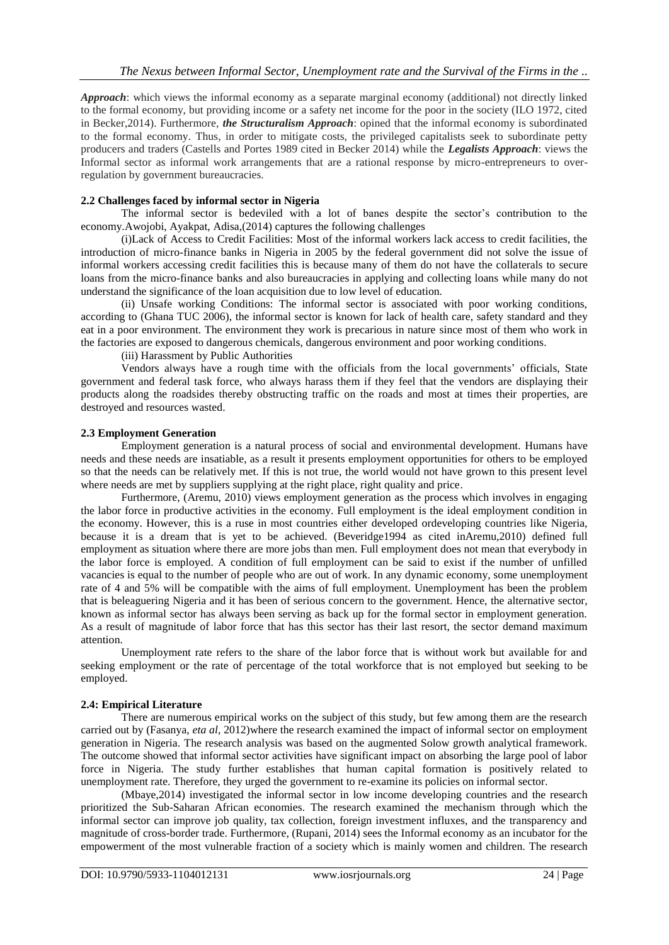*Approach*: which views the informal economy as a separate marginal economy (additional) not directly linked to the formal economy, but providing income or a safety net income for the poor in the society (ILO 1972, cited in Becker,2014). Furthermore, *the Structuralism Approach*: opined that the informal economy is subordinated to the formal economy. Thus, in order to mitigate costs, the privileged capitalists seek to subordinate petty producers and traders (Castells and Portes 1989 cited in Becker 2014) while the *Legalists Approach*: views the Informal sector as informal work arrangements that are a rational response by micro-entrepreneurs to overregulation by government bureaucracies.

#### **2.2 Challenges faced by informal sector in Nigeria**

The informal sector is bedeviled with a lot of banes despite the sector"s contribution to the economy.Awojobi, Ayakpat, Adisa,(2014) captures the following challenges

(i)Lack of Access to Credit Facilities: Most of the informal workers lack access to credit facilities, the introduction of micro-finance banks in Nigeria in 2005 by the federal government did not solve the issue of informal workers accessing credit facilities this is because many of them do not have the collaterals to secure loans from the micro-finance banks and also bureaucracies in applying and collecting loans while many do not understand the significance of the loan acquisition due to low level of education.

(ii) Unsafe working Conditions: The informal sector is associated with poor working conditions, according to (Ghana TUC 2006), the informal sector is known for lack of health care, safety standard and they eat in a poor environment. The environment they work is precarious in nature since most of them who work in the factories are exposed to dangerous chemicals, dangerous environment and poor working conditions.

(iii) Harassment by Public Authorities

Vendors always have a rough time with the officials from the local governments" officials, State government and federal task force, who always harass them if they feel that the vendors are displaying their products along the roadsides thereby obstructing traffic on the roads and most at times their properties, are destroyed and resources wasted.

#### **2.3 Employment Generation**

Employment generation is a natural process of social and environmental development. Humans have needs and these needs are insatiable, as a result it presents employment opportunities for others to be employed so that the needs can be relatively met. If this is not true, the world would not have grown to this present level where needs are met by suppliers supplying at the right place, right quality and price.

Furthermore, (Aremu, 2010) views employment generation as the process which involves in engaging the labor force in productive activities in the economy. Full employment is the ideal employment condition in the economy. However, this is a ruse in most countries either developed ordeveloping countries like Nigeria, because it is a dream that is yet to be achieved. (Beveridge1994 as cited inAremu,2010) defined full employment as situation where there are more jobs than men. Full employment does not mean that everybody in the labor force is employed. A condition of full employment can be said to exist if the number of unfilled vacancies is equal to the number of people who are out of work. In any dynamic economy, some unemployment rate of 4 and 5% will be compatible with the aims of full employment. Unemployment has been the problem that is beleaguering Nigeria and it has been of serious concern to the government. Hence, the alternative sector, known as informal sector has always been serving as back up for the formal sector in employment generation. As a result of magnitude of labor force that has this sector has their last resort, the sector demand maximum attention.

Unemployment rate refers to the share of the labor force that is without work but available for and seeking employment or the rate of percentage of the total workforce that is not employed but seeking to be employed.

# **2.4: Empirical Literature**

There are numerous empirical works on the subject of this study, but few among them are the research carried out by (Fasanya, *eta al*, 2012)where the research examined the impact of informal sector on employment generation in Nigeria. The research analysis was based on the augmented Solow growth analytical framework. The outcome showed that informal sector activities have significant impact on absorbing the large pool of labor force in Nigeria. The study further establishes that human capital formation is positively related to unemployment rate. Therefore, they urged the government to re-examine its policies on informal sector.

(Mbaye,2014) investigated the informal sector in low income developing countries and the research prioritized the Sub-Saharan African economies. The research examined the mechanism through which the informal sector can improve job quality, tax collection, foreign investment influxes, and the transparency and magnitude of cross-border trade. Furthermore, (Rupani, 2014) sees the Informal economy as an incubator for the empowerment of the most vulnerable fraction of a society which is mainly women and children. The research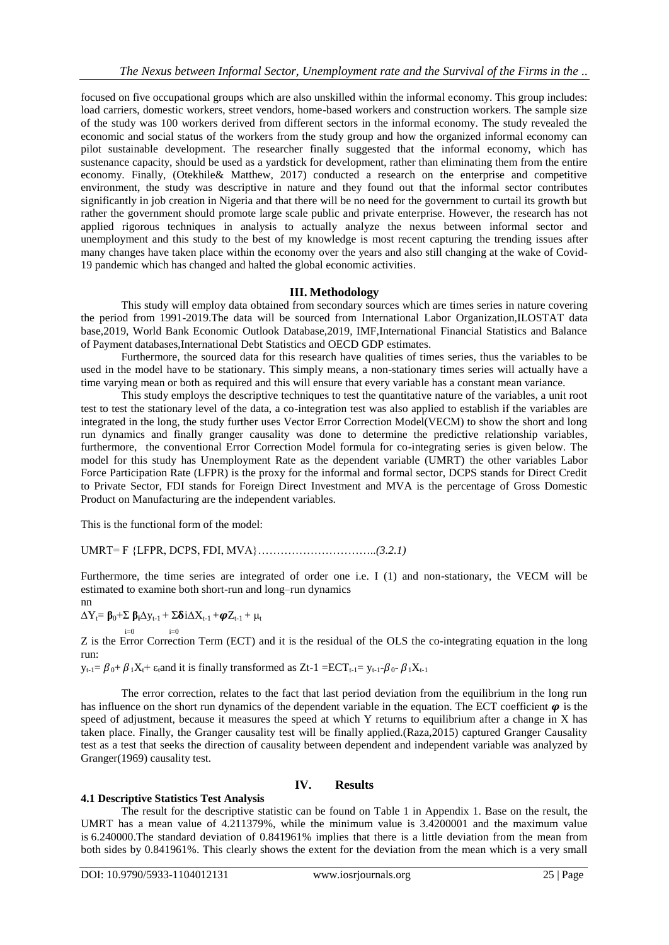focused on five occupational groups which are also unskilled within the informal economy. This group includes: load carriers, domestic workers, street vendors, home-based workers and construction workers. The sample size of the study was 100 workers derived from different sectors in the informal economy. The study revealed the economic and social status of the workers from the study group and how the organized informal economy can pilot sustainable development. The researcher finally suggested that the informal economy, which has sustenance capacity, should be used as a yardstick for development, rather than eliminating them from the entire economy. Finally, (Otekhile& Matthew, 2017) conducted a research on the enterprise and competitive environment, the study was descriptive in nature and they found out that the informal sector contributes significantly in job creation in Nigeria and that there will be no need for the government to curtail its growth but rather the government should promote large scale public and private enterprise. However, the research has not applied rigorous techniques in analysis to actually analyze the nexus between informal sector and unemployment and this study to the best of my knowledge is most recent capturing the trending issues after many changes have taken place within the economy over the years and also still changing at the wake of Covid-19 pandemic which has changed and halted the global economic activities.

### **III. Methodology**

This study will employ data obtained from secondary sources which are times series in nature covering the period from 1991-2019.The data will be sourced from International Labor Organization,ILOSTAT data base,2019, World Bank Economic Outlook Database,2019, IMF,International Financial Statistics and Balance of Payment databases,International Debt Statistics and OECD GDP estimates.

Furthermore, the sourced data for this research have qualities of times series, thus the variables to be used in the model have to be stationary. This simply means, a non-stationary times series will actually have a time varying mean or both as required and this will ensure that every variable has a constant mean variance.

This study employs the descriptive techniques to test the quantitative nature of the variables, a unit root test to test the stationary level of the data, a co-integration test was also applied to establish if the variables are integrated in the long, the study further uses Vector Error Correction Model(VECM) to show the short and long run dynamics and finally granger causality was done to determine the predictive relationship variables, furthermore, the conventional Error Correction Model formula for co-integrating series is given below. The model for this study has Unemployment Rate as the dependent variable (UMRT) the other variables Labor Force Participation Rate (LFPR) is the proxy for the informal and formal sector, DCPS stands for Direct Credit to Private Sector, FDI stands for Foreign Direct Investment and MVA is the percentage of Gross Domestic Product on Manufacturing are the independent variables.

This is the functional form of the model:

UMRT= F {LFPR, DCPS, FDI, MVA}…………………………..*(3.2.1)*

Furthermore, the time series are integrated of order one i.e. I (1) and non-stationary, the VECM will be estimated to examine both short-run and long–run dynamics

nn

$$
\Delta Y_t = \beta_0 + \Sigma \beta_i \Delta y_{t-1} + \Sigma \delta i \Delta X_{t-1} + \boldsymbol{\varphi} Z_{t-1} + \mu_t
$$

 $i=0$   $i=0$ Z is the Error Correction Term (ECT) and it is the residual of the OLS the co-integrating equation in the long run:

 $y_{t-1} = \beta_0 + \beta_1 X_t + \varepsilon_t$  and it is finally transformed as Zt-1 = ECT<sub>t-1</sub>=  $y_{t-1} - \beta_0 - \beta_1 X_{t-1}$ 

The error correction, relates to the fact that last period deviation from the equilibrium in the long run has influence on the short run dynamics of the dependent variable in the equation. The ECT coefficient  $\varphi$  is the speed of adjustment, because it measures the speed at which Y returns to equilibrium after a change in X has taken place. Finally, the Granger causality test will be finally applied.(Raza,2015) captured Granger Causality test as a test that seeks the direction of causality between dependent and independent variable was analyzed by Granger(1969) causality test.

#### **IV. Results**

#### **4.1 Descriptive Statistics Test Analysis**

The result for the descriptive statistic can be found on Table 1 in Appendix 1. Base on the result, the UMRT has a mean value of 4.211379%, while the minimum value is 3.4200001 and the maximum value is 6.240000.The standard deviation of 0.841961% implies that there is a little deviation from the mean from both sides by 0.841961%. This clearly shows the extent for the deviation from the mean which is a very small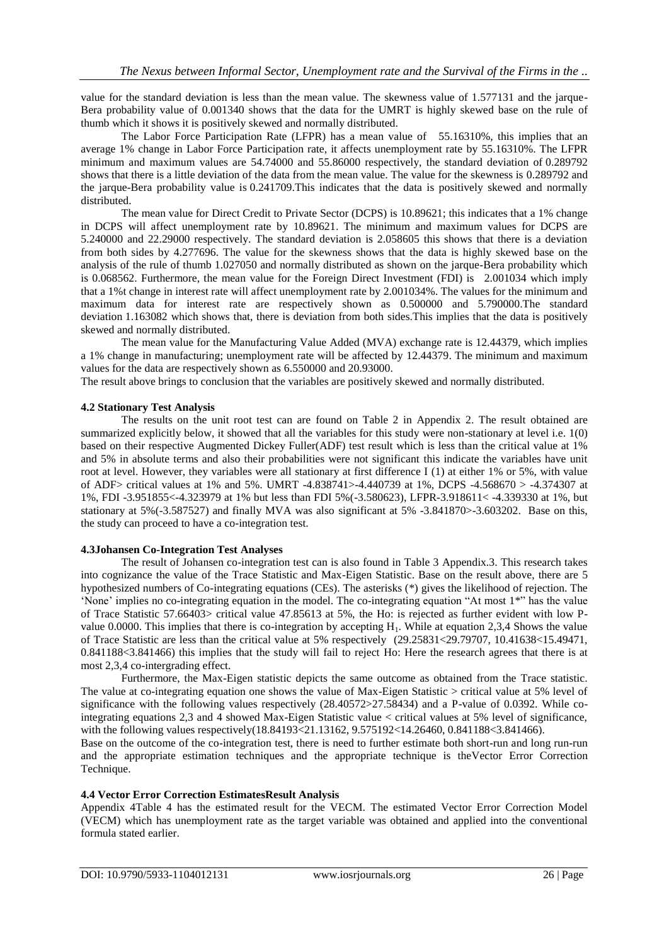value for the standard deviation is less than the mean value. The skewness value of 1.577131 and the jarque-Bera probability value of 0.001340 shows that the data for the UMRT is highly skewed base on the rule of thumb which it shows it is positively skewed and normally distributed.

The Labor Force Participation Rate (LFPR) has a mean value of 55.16310%, this implies that an average 1% change in Labor Force Participation rate, it affects unemployment rate by 55.16310%. The LFPR minimum and maximum values are 54.74000 and 55.86000 respectively, the standard deviation of 0.289792 shows that there is a little deviation of the data from the mean value. The value for the skewness is 0.289792 and the jarque-Bera probability value is 0.241709.This indicates that the data is positively skewed and normally distributed.

The mean value for Direct Credit to Private Sector (DCPS) is 10.89621; this indicates that a 1% change in DCPS will affect unemployment rate by 10.89621. The minimum and maximum values for DCPS are 5.240000 and 22.29000 respectively. The standard deviation is 2.058605 this shows that there is a deviation from both sides by 4.277696. The value for the skewness shows that the data is highly skewed base on the analysis of the rule of thumb 1.027050 and normally distributed as shown on the jarque-Bera probability which is 0.068562. Furthermore, the mean value for the Foreign Direct Investment (FDI) is 2.001034 which imply that a 1%t change in interest rate will affect unemployment rate by 2.001034%. The values for the minimum and maximum data for interest rate are respectively shown as 0.500000 and 5.790000.The standard deviation 1.163082 which shows that, there is deviation from both sides.This implies that the data is positively skewed and normally distributed.

The mean value for the Manufacturing Value Added (MVA) exchange rate is 12.44379, which implies a 1% change in manufacturing; unemployment rate will be affected by 12.44379. The minimum and maximum values for the data are respectively shown as 6.550000 and 20.93000.

The result above brings to conclusion that the variables are positively skewed and normally distributed.

#### **4.2 Stationary Test Analysis**

The results on the unit root test can are found on Table 2 in Appendix 2. The result obtained are summarized explicitly below, it showed that all the variables for this study were non-stationary at level i.e. 1(0) based on their respective Augmented Dickey Fuller(ADF) test result which is less than the critical value at 1% and 5% in absolute terms and also their probabilities were not significant this indicate the variables have unit root at level. However, they variables were all stationary at first difference I (1) at either 1% or 5%, with value of ADF> critical values at 1% and 5%. UMRT -4.838741>-4.440739 at 1%, DCPS -4.568670 > -4.374307 at 1%, FDI -3.951855<-4.323979 at 1% but less than FDI 5%(-3.580623), LFPR-3.918611< -4.339330 at 1%, but stationary at 5%(-3.587527) and finally MVA was also significant at 5% -3.841870>-3.603202. Base on this, the study can proceed to have a co-integration test.

#### **4.3Johansen Co-Integration Test Analyses**

The result of Johansen co-integration test can is also found in Table 3 Appendix.3. This research takes into cognizance the value of the Trace Statistic and Max-Eigen Statistic. Base on the result above, there are 5 hypothesized numbers of Co-integrating equations (CEs). The asterisks (\*) gives the likelihood of rejection. The "None" implies no co-integrating equation in the model. The co-integrating equation "At most  $1^*$ " has the value of Trace Statistic 57.66403> critical value 47.85613 at 5%, the Ho: is rejected as further evident with low Pvalue 0.0000. This implies that there is co-integration by accepting  $H<sub>1</sub>$ . While at equation 2,3,4 Shows the value of Trace Statistic are less than the critical value at 5% respectively (29.25831<29.79707, 10.41638<15.49471, 0.841188<3.841466) this implies that the study will fail to reject Ho: Here the research agrees that there is at most 2,3,4 co-intergrading effect.

Furthermore, the Max-Eigen statistic depicts the same outcome as obtained from the Trace statistic. The value at co-integrating equation one shows the value of Max-Eigen Statistic > critical value at 5% level of significance with the following values respectively (28.40572>27.58434) and a P-value of 0.0392. While cointegrating equations 2,3 and 4 showed Max-Eigen Statistic value < critical values at 5% level of significance, with the following values respectively(18.84193<21.13162, 9.575192<14.26460, 0.841188<3.841466).

Base on the outcome of the co-integration test, there is need to further estimate both short-run and long run-run and the appropriate estimation techniques and the appropriate technique is theVector Error Correction Technique.

#### **4.4 Vector Error Correction EstimatesResult Analysis**

Appendix 4Table 4 has the estimated result for the VECM. The estimated Vector Error Correction Model (VECM) which has unemployment rate as the target variable was obtained and applied into the conventional formula stated earlier.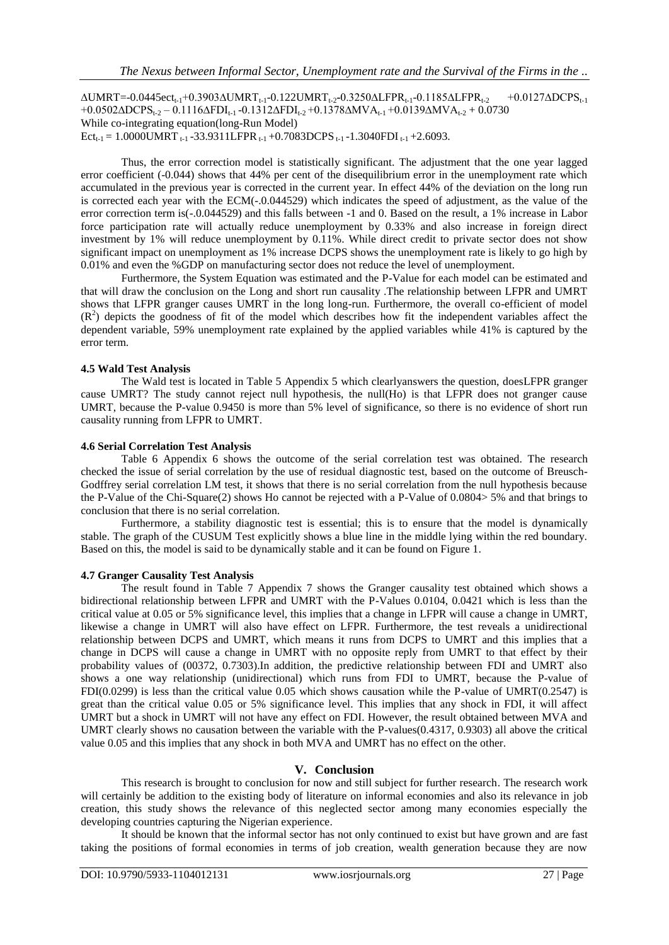$ΔUMRT = -0.0445ect_{t-1} + 0.3903ΔUMRT_{t-1} - 0.122UMRT_{t-2} - 0.3250ΔLFPR_{t-1} - 0.1185ΔLFPR_{t-2}$  +0.0127ΔDCPS<sub>t-1</sub> +0.0502∆DCPS<sub>t-2</sub> – 0.1116∆FDI<sub>t-1</sub> -0.1312∆FDI<sub>t-2</sub> +0.1378∆MVA<sub>t-1</sub> +0.0139∆MVA<sub>t-2</sub> + 0.0730 While co-integrating equation(long-Run Model) Ect<sub>t-1</sub> = 1.0000UMRT  $_{t-1}$  -33.9311LFPR  $_{t-1}$  +0.7083DCPS  $_{t-1}$  -1.3040FDI  $_{t-1}$  +2.6093.

Thus, the error correction model is statistically significant. The adjustment that the one year lagged error coefficient (-0.044) shows that 44% per cent of the disequilibrium error in the unemployment rate which accumulated in the previous year is corrected in the current year. In effect 44% of the deviation on the long run is corrected each year with the ECM(-.0.044529) which indicates the speed of adjustment, as the value of the error correction term is(-.0.044529) and this falls between -1 and 0. Based on the result, a 1% increase in Labor force participation rate will actually reduce unemployment by 0.33% and also increase in foreign direct investment by 1% will reduce unemployment by 0.11%. While direct credit to private sector does not show significant impact on unemployment as 1% increase DCPS shows the unemployment rate is likely to go high by 0.01% and even the %GDP on manufacturing sector does not reduce the level of unemployment.

Furthermore, the System Equation was estimated and the P-Value for each model can be estimated and that will draw the conclusion on the Long and short run causality .The relationship between LFPR and UMRT shows that LFPR granger causes UMRT in the long long-run. Furthermore, the overall co-efficient of model  $(R<sup>2</sup>)$  depicts the goodness of fit of the model which describes how fit the independent variables affect the dependent variable, 59% unemployment rate explained by the applied variables while 41% is captured by the error term.

### **4.5 Wald Test Analysis**

The Wald test is located in Table 5 Appendix 5 which clearlyanswers the question, doesLFPR granger cause UMRT? The study cannot reject null hypothesis, the null(Ho) is that LFPR does not granger cause UMRT, because the P-value 0.9450 is more than 5% level of significance, so there is no evidence of short run causality running from LFPR to UMRT.

#### **4.6 Serial Correlation Test Analysis**

Table 6 Appendix 6 shows the outcome of the serial correlation test was obtained. The research checked the issue of serial correlation by the use of residual diagnostic test, based on the outcome of Breusch-Godffrey serial correlation LM test, it shows that there is no serial correlation from the null hypothesis because the P-Value of the Chi-Square(2) shows Ho cannot be rejected with a P-Value of 0.0804> 5% and that brings to conclusion that there is no serial correlation.

Furthermore, a stability diagnostic test is essential; this is to ensure that the model is dynamically stable. The graph of the CUSUM Test explicitly shows a blue line in the middle lying within the red boundary. Based on this, the model is said to be dynamically stable and it can be found on Figure 1.

#### **4.7 Granger Causality Test Analysis**

The result found in Table 7 Appendix 7 shows the Granger causality test obtained which shows a bidirectional relationship between LFPR and UMRT with the P-Values 0.0104, 0.0421 which is less than the critical value at 0.05 or 5% significance level, this implies that a change in LFPR will cause a change in UMRT, likewise a change in UMRT will also have effect on LFPR. Furthermore, the test reveals a unidirectional relationship between DCPS and UMRT, which means it runs from DCPS to UMRT and this implies that a change in DCPS will cause a change in UMRT with no opposite reply from UMRT to that effect by their probability values of (00372, 0.7303).In addition, the predictive relationship between FDI and UMRT also shows a one way relationship (unidirectional) which runs from FDI to UMRT, because the P-value of FDI(0.0299) is less than the critical value 0.05 which shows causation while the P-value of UMRT(0.2547) is great than the critical value 0.05 or 5% significance level. This implies that any shock in FDI, it will affect UMRT but a shock in UMRT will not have any effect on FDI. However, the result obtained between MVA and UMRT clearly shows no causation between the variable with the P-values(0.4317, 0.9303) all above the critical value 0.05 and this implies that any shock in both MVA and UMRT has no effect on the other.

# **V. Conclusion**

This research is brought to conclusion for now and still subject for further research. The research work will certainly be addition to the existing body of literature on informal economies and also its relevance in job creation, this study shows the relevance of this neglected sector among many economies especially the developing countries capturing the Nigerian experience.

It should be known that the informal sector has not only continued to exist but have grown and are fast taking the positions of formal economies in terms of job creation, wealth generation because they are now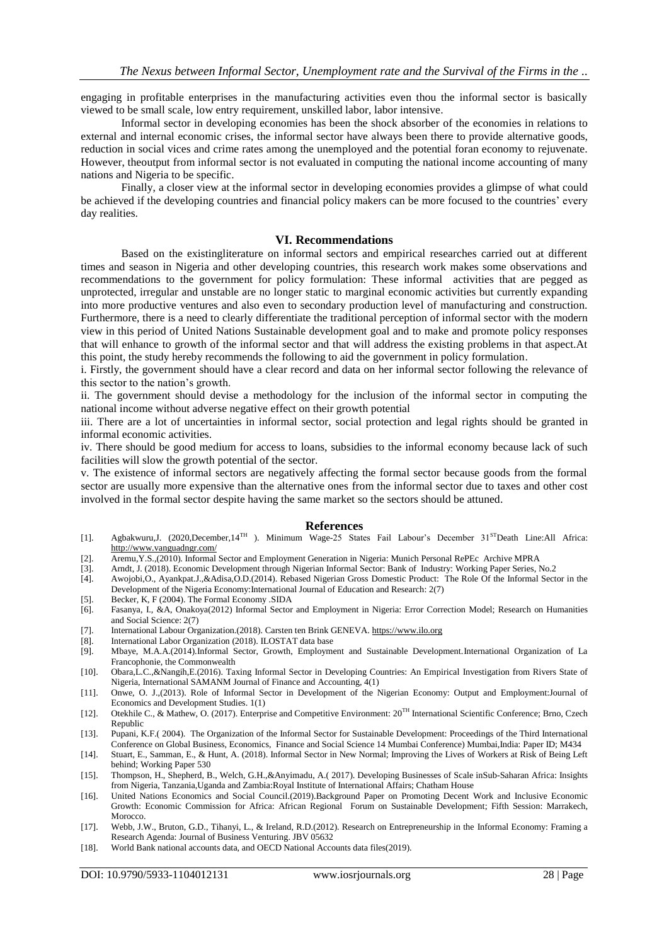engaging in profitable enterprises in the manufacturing activities even thou the informal sector is basically viewed to be small scale, low entry requirement, unskilled labor, labor intensive.

Informal sector in developing economies has been the shock absorber of the economies in relations to external and internal economic crises, the informal sector have always been there to provide alternative goods, reduction in social vices and crime rates among the unemployed and the potential foran economy to rejuvenate. However, theoutput from informal sector is not evaluated in computing the national income accounting of many nations and Nigeria to be specific.

Finally, a closer view at the informal sector in developing economies provides a glimpse of what could be achieved if the developing countries and financial policy makers can be more focused to the countries" every day realities.

#### **VI. Recommendations**

Based on the existingliterature on informal sectors and empirical researches carried out at different times and season in Nigeria and other developing countries, this research work makes some observations and recommendations to the government for policy formulation: These informal activities that are pegged as unprotected, irregular and unstable are no longer static to marginal economic activities but currently expanding into more productive ventures and also even to secondary production level of manufacturing and construction. Furthermore, there is a need to clearly differentiate the traditional perception of informal sector with the modern view in this period of United Nations Sustainable development goal and to make and promote policy responses that will enhance to growth of the informal sector and that will address the existing problems in that aspect.At this point, the study hereby recommends the following to aid the government in policy formulation.

i. Firstly, the government should have a clear record and data on her informal sector following the relevance of this sector to the nation"s growth.

ii. The government should devise a methodology for the inclusion of the informal sector in computing the national income without adverse negative effect on their growth potential

iii. There are a lot of uncertainties in informal sector, social protection and legal rights should be granted in informal economic activities.

iv. There should be good medium for access to loans, subsidies to the informal economy because lack of such facilities will slow the growth potential of the sector.

v. The existence of informal sectors are negatively affecting the formal sector because goods from the formal sector are usually more expensive than the alternative ones from the informal sector due to taxes and other cost involved in the formal sector despite having the same market so the sectors should be attuned.

#### **References**

- [1]. Agbakwuru,J. (2020,December,14TH ). Minimum Wage-25 States Fail Labour"s December 31STDeath Line:All Africa: <http://www.vanguadngr.com/>
- [2]. Aremu,Y.S.,(2010). Informal Sector and Employment Generation in Nigeria: Munich Personal RePEc Archive MPRA
- [3]. Arndt, J. (2018). Economic Development through Nigerian Informal Sector: Bank of Industry: Working Paper Series, No.2
- [4]. Awojobi,O., Ayankpat.J.,&Adisa,O.D.(2014). Rebased Nigerian Gross Domestic Product: The Role Of the Informal Sector in the Development of the Nigeria Economy:International Journal of Education and Research: 2(7)
- [5]. Becker, K, F (2004). The Formal Economy .SIDA
- [6]. Fasanya, I., &A, Onakoya(2012) Informal Sector and Employment in Nigeria: Error Correction Model; Research on Humanities and Social Science: 2(7)
- [7]. International Labour Organization.(2018). Carsten ten Brink GENEVA[. https://www.ilo.org](https://www.ilo.org/)
- [8]. International Labor Organization (2018). ILOSTAT data base
- [9]. Mbaye, M.A.A.(2014).Informal Sector, Growth, Employment and Sustainable Development.International Organization of La Francophonie, the Commonwealth
- [10]. Obara,L.C.,&Nangih,E.(2016). Taxing Informal Sector in Developing Countries: An Empirical Investigation from Rivers State of Nigeria, International SAMANM Journal of Finance and Accounting, 4(1)
- [11]. Onwe, O. J.,(2013). Role of Informal Sector in Development of the Nigerian Economy: Output and Employment:Journal of Economics and Development Studies. 1(1)
- [12]. Otekhile C., & Mathew, O. (2017). Enterprise and Competitive Environment: 20TH International Scientific Conference; Brno, Czech Republic
- [13]. Pupani, K.F.( 2004). The Organization of the Informal Sector for Sustainable Development: Proceedings of the Third International Conference on Global Business, Economics, Finance and Social Science 14 Mumbai Conference) Mumbai,India: Paper ID; M434
- [14]. Stuart, E., Samman, E., & Hunt, A. (2018). Informal Sector in New Normal; Improving the Lives of Workers at Risk of Being Left behind; Working Paper 530
- [15]. Thompson, H., Shepherd, B., Welch, G.H.,&Anyimadu, A.( 2017). Developing Businesses of Scale inSub-Saharan Africa: Insights from Nigeria, Tanzania,Uganda and Zambia:Royal Institute of International Affairs; Chatham House
- [16]. United Nations Economics and Social Council.(2019).Background Paper on Promoting Decent Work and Inclusive Economic Growth: Economic Commission for Africa: African Regional Forum on Sustainable Development; Fifth Session: Marrakech, Morocco.
- [17]. Webb, J.W., Bruton, G.D., Tihanyi, L., & Ireland, R.D.(2012). Research on Entrepreneurship in the Informal Economy: Framing a Research Agenda: Journal of Business Venturing. JBV 05632
- [18]. World Bank national accounts data, and OECD National Accounts data files(2019).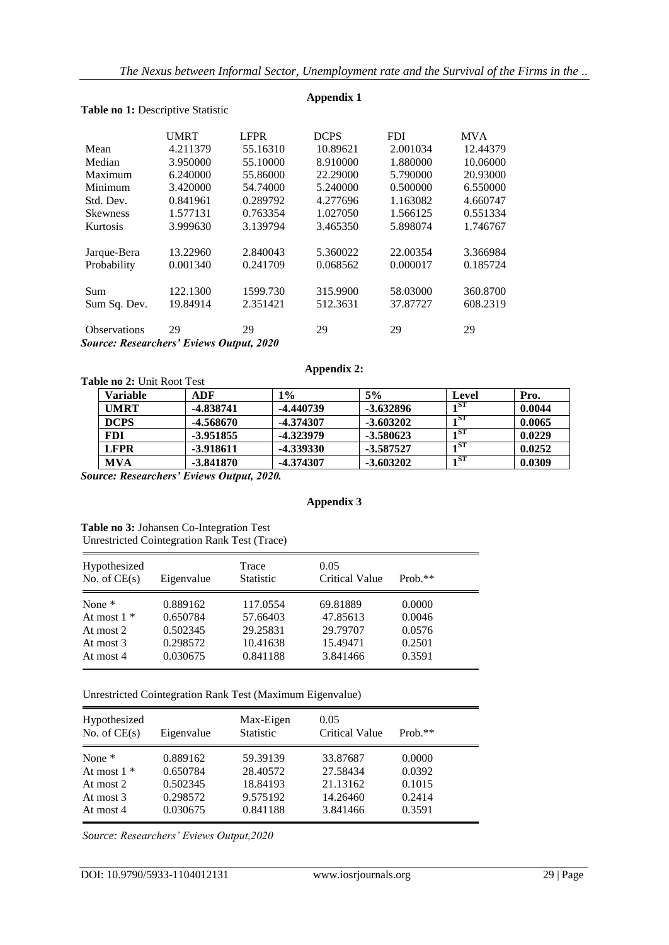**Appendix 1**

|                                         | <b>UMRT</b> | <b>LFPR</b> | <b>DCPS</b> | <b>FDI</b> | <b>MVA</b> |
|-----------------------------------------|-------------|-------------|-------------|------------|------------|
| Mean                                    | 4.211379    | 55.16310    | 10.89621    | 2.001034   | 12.44379   |
| Median                                  | 3.950000    | 55.10000    | 8.910000    | 1.880000   | 10.06000   |
| Maximum                                 | 6.240000    | 55.86000    | 22.29000    | 5.790000   | 20.93000   |
| Minimum                                 | 3.420000    | 54.74000    | 5.240000    | 0.500000   | 6.550000   |
| Std. Dev.                               | 0.841961    | 0.289792    | 4.277696    | 1.163082   | 4.660747   |
| <b>Skewness</b>                         | 1.577131    | 0.763354    | 1.027050    | 1.566125   | 0.551334   |
| Kurtosis                                | 3.999630    | 3.139794    | 3.465350    | 5.898074   | 1.746767   |
| Jarque-Bera                             | 13.22960    | 2.840043    | 5.360022    | 22.00354   | 3.366984   |
| Probability                             | 0.001340    | 0.241709    | 0.068562    | 0.000017   | 0.185724   |
| Sum                                     | 122.1300    | 1599.730    | 315.9900    | 58.03000   | 360.8700   |
| Sum Sq. Dev.                            | 19.84914    | 2.351421    | 512.3631    | 37.87727   | 608.2319   |
| <b>Observations</b>                     | 29          | 29          | 29          | 29         | 29         |
| Course: Pessarchars' Eviews Output 2020 |             |             |             |            |            |

# Table no 1: Descriptive Statistic

*Source: Researchers' Eviews Output, 2020*

#### **Appendix 2:**

| <b>Table no 2:</b> Unit Root Test |             |           |             |              |        |
|-----------------------------------|-------------|-----------|-------------|--------------|--------|
| <b>Variable</b>                   | ADF         | 1%        | 5%          | Level        | Pro.   |
| <b>UMRT</b>                       | -4.838741   | -4.440739 | $-3.632896$ | $1^{\rm ST}$ | 0.0044 |
| <b>DCPS</b>                       | -4.568670   | -4.374307 | $-3.603202$ | 1ST          | 0.0065 |
| <b>FDI</b>                        | -3.951855   | -4.323979 | $-3.580623$ | 1ST          | 0.0229 |
| <b>LFPR</b>                       | -3.918611   | -4.339330 | -3.587527   | $1^{\rm ST}$ | 0.0252 |
| <b>MVA</b>                        | $-3.841870$ | -4.374307 | $-3.603202$ | 1ST          | 0.0309 |

*Source: Researchers' Eviews Output, 2020.*

# **Appendix 3**

**Table no 3:** Johansen Co-Integration Test Unrestricted Cointegration Rank Test (Trace)

| Hypothesized<br>No. of $CE(s)$ | Eigenvalue | Trace<br><b>Statistic</b> | 0.05<br><b>Critical Value</b> | $Prob.**$ |
|--------------------------------|------------|---------------------------|-------------------------------|-----------|
| None $*$                       | 0.889162   | 117.0554                  | 69.81889                      | 0.0000    |
| At most $1 *$                  | 0.650784   | 57.66403                  | 47.85613                      | 0.0046    |
| At most 2                      | 0.502345   | 29.25831                  | 29.79707                      | 0.0576    |
| At most 3                      | 0.298572   | 10.41638                  | 15.49471                      | 0.2501    |
| At most 4                      | 0.030675   | 0.841188                  | 3.841466                      | 0.3591    |

Unrestricted Cointegration Rank Test (Maximum Eigenvalue)

| Hypothesized<br>No. of $CE(s)$ | Eigenvalue | Max-Eigen<br><b>Statistic</b> | 0.05<br>Critical Value | $Prob.**$ |
|--------------------------------|------------|-------------------------------|------------------------|-----------|
| None $*$                       | 0.889162   | 59.39139                      | 33.87687               | 0.0000    |
| At most $1 *$                  | 0.650784   | 28.40572                      | 27.58434               | 0.0392    |
| At most $2$                    | 0.502345   | 18.84193                      | 21.13162               | 0.1015    |
| At most 3                      | 0.298572   | 9.575192                      | 14.26460               | 0.2414    |
| At most 4                      | 0.030675   | 0.841188                      | 3.841466               | 0.3591    |

*Source: Researchers' Eviews Output,2020*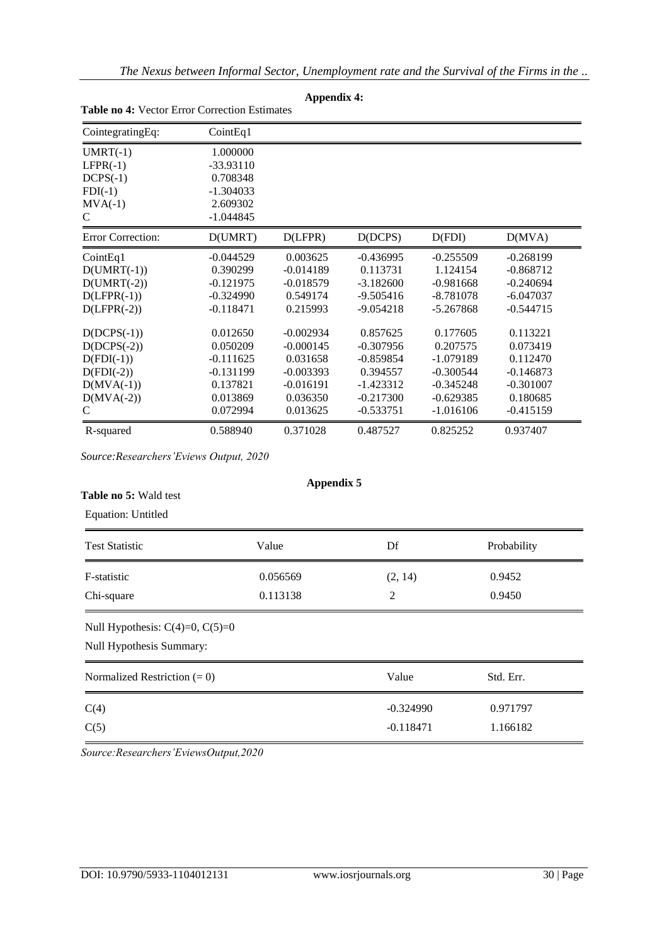| <br><b>Table no 4:</b> Vector Error Correction Estimates |             |             |             |             |             |  |
|----------------------------------------------------------|-------------|-------------|-------------|-------------|-------------|--|
| CointegratingEq:                                         | CointEq1    |             |             |             |             |  |
| $UMRT(-1)$                                               | 1.000000    |             |             |             |             |  |
| $LFPR(-1)$                                               | $-33.93110$ |             |             |             |             |  |
| $DCPS(-1)$                                               | 0.708348    |             |             |             |             |  |
| $FDI(-1)$                                                | $-1.304033$ |             |             |             |             |  |
| $MVA(-1)$                                                | 2.609302    |             |             |             |             |  |
| C                                                        | $-1.044845$ |             |             |             |             |  |
| <b>Error Correction:</b>                                 | D(UMRT)     | D(LFPR)     | D(DCPS)     | D(FDI)      | D(MVA)      |  |
| CointEq1                                                 | $-0.044529$ | 0.003625    | $-0.436995$ | $-0.255509$ | $-0.268199$ |  |
| $D(UMRT(-1))$                                            | 0.390299    | $-0.014189$ | 0.113731    | 1.124154    | $-0.868712$ |  |
| $D(UMRT(-2))$                                            | $-0.121975$ | $-0.018579$ | $-3.182600$ | $-0.981668$ | $-0.240694$ |  |
| $D(LFPR(-1))$                                            | $-0.324990$ | 0.549174    | $-9.505416$ | $-8.781078$ | $-6.047037$ |  |
| $D(LFPR(-2))$                                            | $-0.118471$ | 0.215993    | $-9.054218$ | $-5.267868$ | $-0.544715$ |  |
| $D(DCPS(-1))$                                            | 0.012650    | $-0.002934$ | 0.857625    | 0.177605    | 0.113221    |  |
| $D(DCPS(-2))$                                            | 0.050209    | $-0.000145$ | $-0.307956$ | 0.207575    | 0.073419    |  |
| $D(FDI(-1))$                                             | $-0.111625$ | 0.031658    | $-0.859854$ | $-1.079189$ | 0.112470    |  |
| $D(FDI(-2))$                                             | $-0.131199$ | $-0.003393$ | 0.394557    | $-0.300544$ | $-0.146873$ |  |
| $D(MVA(-1))$                                             | 0.137821    | $-0.016191$ | $-1.423312$ | $-0.345248$ | $-0.301007$ |  |
| $D(MVA(-2))$                                             | 0.013869    | 0.036350    | $-0.217300$ | $-0.629385$ | 0.180685    |  |
| C                                                        | 0.072994    | 0.013625    | $-0.533751$ | $-1.016106$ | $-0.415159$ |  |
| R-squared                                                | 0.588940    | 0.371028    | 0.487527    | 0.825252    | 0.937407    |  |

# **Appendix 4:**

*Source:Researchers'Eviews Output, 2020*

## **Table no 5:** Wald test

Equation: Untitled

| <b>Test Statistic</b>                                            | Value    | Df             | Probability |  |
|------------------------------------------------------------------|----------|----------------|-------------|--|
| F-statistic                                                      | 0.056569 | (2, 14)        | 0.9452      |  |
| 0.113138<br>Chi-square                                           |          | $\overline{2}$ | 0.9450      |  |
| Null Hypothesis: $C(4)=0$ , $C(5)=0$<br>Null Hypothesis Summary: |          |                |             |  |
| Normalized Restriction $(= 0)$                                   |          | Value          | Std. Err.   |  |
| C(4)                                                             |          | $-0.324990$    | 0.971797    |  |
| C(5)                                                             |          | $-0.118471$    | 1.166182    |  |
|                                                                  |          |                |             |  |

**Appendix 5**

*Source:Researchers'EviewsOutput,2020*